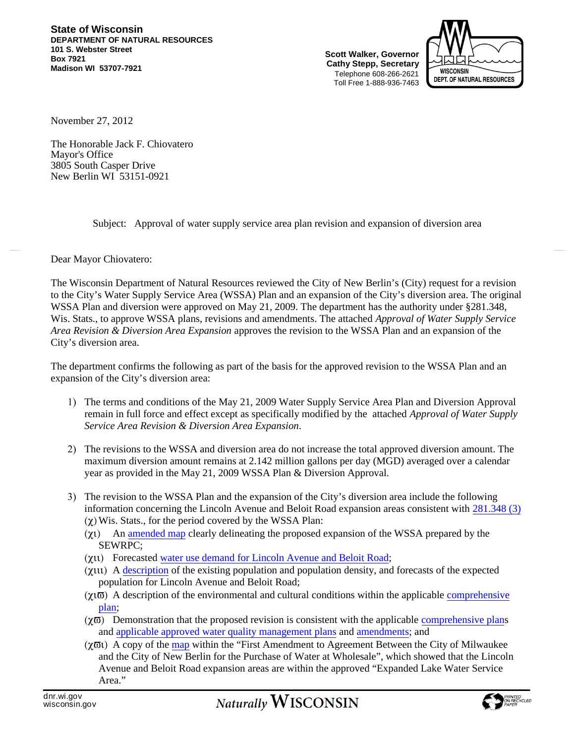**State of Wisconsin DEPARTMENT OF NATURAL RESOURCES 101 S. Webster Street Box 7921 Madison WI 53707-7921**

**Scott Walker, Governor Cathy Stepp, Secretary** Telephone 608-266-2621 Toll Free 1-888-936-7463



November 27, 2012

The Honorable Jack F. Chiovatero Mayor's Office 3805 South Casper Drive New Berlin WI 53151-0921

Subject: Approval of water supply service area plan revision and expansion of diversion area

## Dear Mayor Chiovatero:

The Wisconsin Department of Natural Resources reviewed the City of New Berlin's (City) request for a revision to the City's Water Supply Service Area (WSSA) Plan and an expansion of the City's diversion area. The original WSSA Plan and diversion were approved on May 21, 2009. The department has the authority under §281.348, Wis. Stats., to approve WSSA plans, revisions and amendments. The attached *Approval of Water Supply Service Area Revision & Diversion Area Expansion* approves the revision to the WSSA Plan and an expansion of the City's diversion area.

The department confirms the following as part of the basis for the approved revision to the WSSA Plan and an expansion of the City's diversion area:

- 1) The terms and conditions of the May 21, 2009 Water Supply Service Area Plan and [Diversion](http://dnr.wi.gov/topic/WaterUse/documents/NewBerlin/NBerlin_WaterSupplySAP_final.pdf) Approval remain in full force and effect except as specifically modified by the attached *Approval of Water Supply Service Area Revision & Diversion Area Expansion*.
- 2) The revisions to the WSSA and diversion area do not increase the total approved diversion amount. The maximum diversion amount remains at 2.142 million gallons per day (MGD) averaged over a calendar year as provided in the May 21, 2009 WSSA Plan & Diversion Approval.
- 3) The revision to the WSSA Plan and the expansion of the City's diversion area include the following information concerning the Lincoln Avenue and Beloit Road expansion areas consistent with [281.348](http://docs.legis.wisconsin.gov/statutes/statutes/281/III/348/3/c/) (3) [\(χ\)](http://docs.legis.wisconsin.gov/statutes/statutes/281/III/348/3/c/)Wis. Stats., for the period covered by the WSSA Plan:
	- (χι) An [amended](http://www.newberlin.org/DocumentView.aspx?DID=1032) map clearly delineating the proposed expansion of the WSSA prepared by the SEWRPC;
	- (χιι) Forecasted water use [demand](http://www.newberlin.org/DocumentView.aspx?DID=1032) for Lincoln Avenue and Beloit Road;
	- (χιιι) A [description](http://www.newberlin.org/DocumentView.aspx?DID=1032) of the existing population and population density, and forecasts of the expected population for Lincoln Avenue and Beloit Road;
	- $(χ<sub>1</sub>ω)$  A description of the environmental and cultural conditions within the applicable [comprehensive](http://www.newberlin.org/index.aspx?nid=218) plan;
	- $(\chi \overline{\omega})$  Demonstration that the proposed revision is consistent with the applicable [comprehensive](http://www.newberlin.org/index.aspx?nid=218) plans and applicable approved water quality [management](http://www.sewrpc.org/SEWRPC/Environment/RegionalWaterQualityManagement.htm) plans and [amendments;](http://www.google.com/url?q=http://www.sewrpc.org/SEWRPCFiles/Publications/ssa/2012-06-amendment-new-berlin.pdf&sa=U&ei=vTUtUPWSFYf1ygGs5IC4CQ&ved=0CBgQFjAC&usg=AFQjCNFZbo1qNffVq2J3saSlkpeFXIGPKw) and
	- (χϖι) A copy of the [map](http://dnr.wi.gov/topic/wateruse/documents/NewBerlin/MMSDServiceMap2012.pdf) within the "First Amendment to Agreement Between the City of Milwaukee and the City of New Berlin for the Purchase of Water at Wholesale", which showed that the Lincoln Avenue and Beloit Road expansion areas are within the approved "Expanded Lake Water Service Area<sup>"</sup>

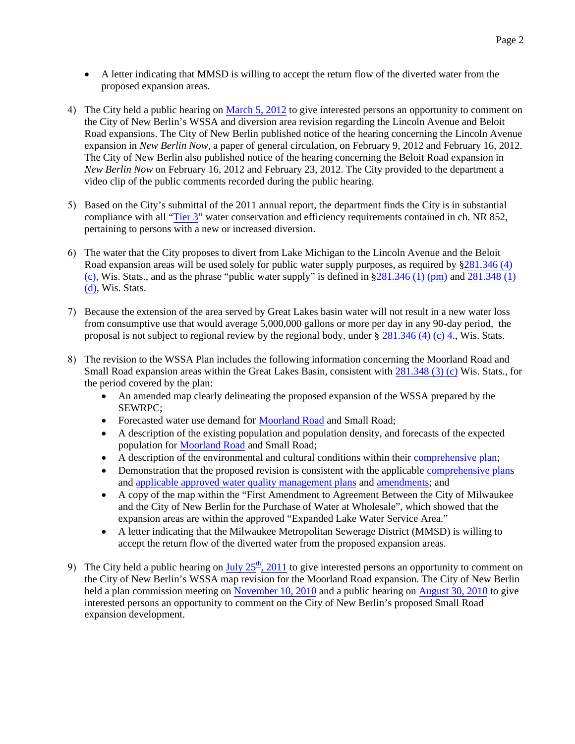- A letter indicating that MMSD is willing to accept the return flow of the diverted water from the proposed expansion areas.
- 4) The City held a public hearing on [March](http://meetings.newberlin.org/sirepub/mtgviewer.aspx?meetid=405&doctype=AGENDA) 5, 2012 to give interested persons an opportunity to comment on the City of New Berlin's WSSA and diversion area revision regarding the Lincoln Avenue and Beloit Road expansions. The City of New Berlin published notice of the hearing concerning the Lincoln Avenue expansion in *New Berlin Now*, a paper of general circulation, on February 9, 2012 and February 16, 2012. The City of New Berlin also published notice of the hearing concerning the Beloit Road expansion in *New Berlin Now* on February 16, 2012 and February 23, 2012. The City provided to the department a video clip of the public comments recorded during the public hearing.
- 5) Based on the City's submittal of the 2011 annual report, the department finds the City is in substantial compliance with all "[Tier](http://docs.legis.wisconsin.gov/code/admin_code/nr/852/06) 3" water conservation and efficiency requirements contained in ch. NR 852, pertaining to persons with a new or increased diversion.
- 6) The water that the City proposes to divert from Lake Michigan to the Lincoln Avenue and the Beloit Road expansion areas will be used solely for public water supply purposes, as required by [§281.346](https://docs.legis.wisconsin.gov/statutes/statutes/281/III/346/4/c) (4) [\(c\)](https://docs.legis.wisconsin.gov/statutes/statutes/281/III/346/4/c), Wis. Stats., and as the phrase "public water supply" is defined in  $\S 281.346(1)$  (pm) and  $281.348(1)$  $281.348(1)$ [\(d\),](https://docs.legis.wisconsin.gov/statutes/statutes/281/III/346/1/d) Wis. Stats.
- 7) Because the extension of the area served by Great Lakes basin water will not result in a new water loss from consumptive use that would average 5,000,000 gallons or more per day in any 90-day period, the proposal is not subject to regional review by the regional body, under  $\S 281.346 (4)$  $\S 281.346 (4)$  $\S 281.346 (4)$  (c) 4., Wis. Stats.
- 8) The revision to the WSSA Plan includes the following information concerning the Moorland Road and Small Road expansion areas within the Great Lakes Basin, consistent with [281.348](http://docs.legis.wisconsin.gov/statutes/statutes/281/III/348/3/c) (3) (c) Wis. Stats., for the period covered by the plan:
	- An [amended](http://dnr.wi.gov/topic/wateruse/documents/newberlin/Amendment_WSSA_Plan_New_Berlin_October-2011.pdf) map clearly delineating the proposed expansion of the WSSA prepared by the SEWRPC;
	- Forecasted water use demand for [Moorland](http://meetings.newberlin.org/sirepub/mtgviewer.aspx?meetid=177&doctype=AGENDA) Road and [Small](http://dnr.wi.gov/topic/wateruse/documents/Buyseasons_Small_Road_Staff_Report.pdf) Road;
	- A description of the existing population and population density, and forecasts of the expected population for [Moorland](http://meetings.newberlin.org/sirepub/mtgviewer.aspx?meetid=177&doctype=AGENDA) Road and [Small](http://dnr.wi.gov/topic/wateruse/documents/newberlin/BuyseasonsSmallRoadStaffReport201.pdf) Road;
	- A description of the environmental and cultural conditions within their [comprehensive](http://www.newberlin.org/index.aspx?nid=218) plan;
	- Demonstration that the proposed revision is consistent with the applicable [comprehensive](http://www.newberlin.org/index.aspx?nid=218) plans and applicable approved water quality [management](http://www.sewrpc.org/SEWRPC/Environment/RegionalWaterQualityManagement.htm) plans and [amendments](http://www.sewrpc.org/SEWRPCFiles/Publications/ssa/2011-09-amendment-new-berlin.pdf); and
	- A copy of the [map](http://dnr.wi.gov/topic/wateruse/documents/newberlin/MMSDServiceMap2012.pdf) within the "First Amendment to Agreement Between the City of Milwaukee and the City of New Berlin for the Purchase of Water at Wholesale", which showed that the expansion areas are within the approved "Expanded Lake Water Service Area."
	- A letter indicating that the Milwaukee Metropolitan Sewerage District (MMSD) is willing to accept the return flow of the diverted water from the proposed expansion areas.
- 9) The City held a public hearing on  $\underline{July\ 25^h, 2011}$  $\underline{July\ 25^h, 2011}$  $\underline{July\ 25^h, 2011}$  $\underline{July\ 25^h, 2011}$  $\underline{July\ 25^h, 2011}$  to give interested persons an opportunity to comment on the City of New Berlin's WSSA map revision for the Moorland Road expansion. The City of New Berlin held a plan commission meeting on [November](http://www.newberlin.org/Archive.aspx?ADID=211) 10, 2010 and a public hearing on [August](http://www.newberlin.org/Archive.aspx?ADID=209) 30, 2010 to give interested persons an opportunity to comment on the City of New Berlin's proposed Small Road expansion development.